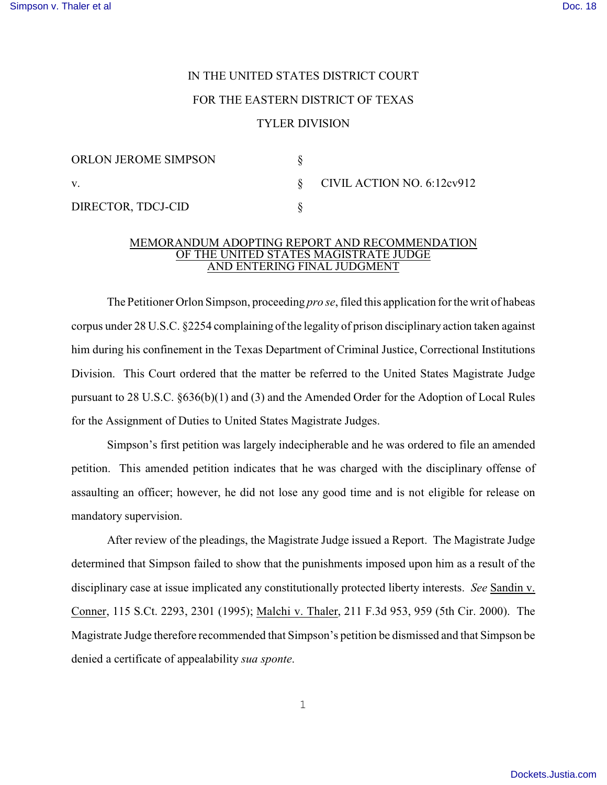## IN THE UNITED STATES DISTRICT COURT

## FOR THE EASTERN DISTRICT OF TEXAS

## TYLER DIVISION

| <b>ORLON JEROME SIMPSON</b> |                                 |
|-----------------------------|---------------------------------|
| V.                          | $\S$ CIVIL ACTION NO. 6:12cv912 |
| DIRECTOR, TDCJ-CID          |                                 |

## MEMORANDUM ADOPTING REPORT AND RECOMMENDATION OF THE UNITED STATES MAGISTRATE JUDGE AND ENTERING FINAL JUDGMENT

The Petitioner Orlon Simpson, proceeding *pro se*, filed this application for the writ of habeas corpus under 28 U.S.C. §2254 complaining of the legality of prison disciplinary action taken against him during his confinement in the Texas Department of Criminal Justice, Correctional Institutions Division. This Court ordered that the matter be referred to the United States Magistrate Judge pursuant to 28 U.S.C. §636(b)(1) and (3) and the Amended Order for the Adoption of Local Rules for the Assignment of Duties to United States Magistrate Judges.

Simpson's first petition was largely indecipherable and he was ordered to file an amended petition. This amended petition indicates that he was charged with the disciplinary offense of assaulting an officer; however, he did not lose any good time and is not eligible for release on mandatory supervision.

After review of the pleadings, the Magistrate Judge issued a Report. The Magistrate Judge determined that Simpson failed to show that the punishments imposed upon him as a result of the disciplinary case at issue implicated any constitutionally protected liberty interests. *See* Sandin v. Conner, 115 S.Ct. 2293, 2301 (1995); Malchi v. Thaler, 211 F.3d 953, 959 (5th Cir. 2000). The Magistrate Judge therefore recommended that Simpson's petition be dismissed and that Simpson be denied a certificate of appealability *sua sponte*.